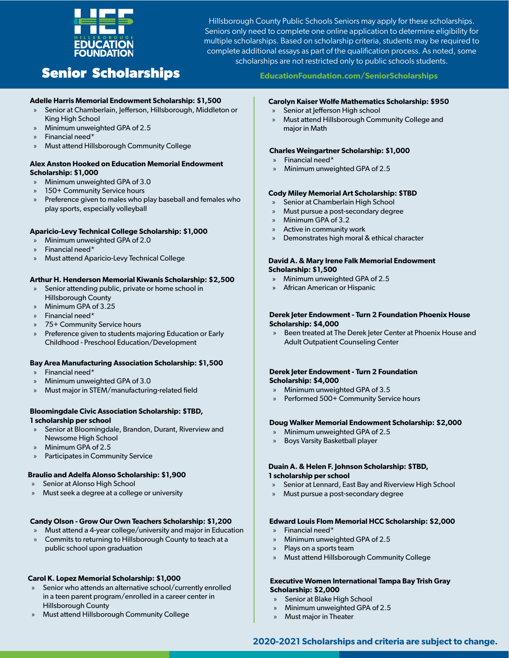

Hillsborough County Public Schools Seniors may apply for these scholarships. Seniors only need to complete one online application to determine eligibility for multiple scholarships. Based on scholarship criteria, students may be required to complete additional essays as part of the qualification process. As noted, some scholarships are not restricted only to public schools students.

# **Senior Scholarships EducationFoundation.com/SeniorScholarships**

#### **Adelle Harris Memorial Endowment Scholarship: \$1,500**

- Senior at Chamberlain, Jefferson, Hillsborough, Middleton or King High School
- » Minimum unweighted GPA of 2.5
- » Financial need\*
- » Must attend Hillsborough Community College

#### **Alex Anston Hooked on Education Memorial Endowment Scholarship: \$1,000**

- » Minimum unweighted GPA of 3.0
- 150+ Community Service hours
- » Preference given to males who play baseball and females who play sports, especially volleyball

#### **Aparicio-Levy Technical College Scholarship: \$1,000**

- » Minimum unweighted GPA of 2.0
- » Financial need\*
- » Must attend Aparicio-Levy Technical College

#### **Arthur H. Henderson Memorial Kiwanis Scholarship: \$2,500**

- Senior attending public, private or home school in Hillsborough County
- » Minimum GPA of 3.25
- » Financial need\*
- » 75+ Community Service hours
- » Preference given to students majoring Education or Early Childhood - Preschool Education/Development

#### **Bay Area Manufacturing Association Scholarship: \$1,500**

- » Financial need\*
- » Minimum unweighted GPA of 3.0
- » Must major in STEM/manufacturing-related field

#### **Bloomingdale Civic Association Scholarship: \$TBD, 1 scholarship per school**

- Senior at Bloomingdale, Brandon, Durant, Riverview and Newsome High School
- » Minimum GPA of 2.5
- » Participates in Community Service

#### **Braulio and Adelfa Alonso Scholarship: \$1,900**

- » Senior at Alonso High School
- » Must seek a degree at a college or university

#### **Candy Olson - Grow Our Own Teachers Scholarship: \$1,200**

» Must attend a 4-year college/university and major in Education » Commits to returning to Hillsborough County to teach at a public school upon graduation

#### **Carol K. Lopez Memorial Scholarship: \$1,000**

- » Senior who attends an alternative school/currently enrolled in a teen parent program/enrolled in a career center in Hillsborough County
- » Must attend Hillsborough Community College

#### **Carolyn Kaiser Wolfe Mathematics Scholarship: \$950**

- » Senior at Jefferson High school
- » Must attend Hillsborough Community College and major in Math

#### **Charles Weingartner Scholarship: \$1,000**

- » Financial need\*
- » Minimum unweighted GPA of 2.5

#### **Cody Miley Memorial Art Scholarship: \$TBD**

- Senior at Chamberlain High School
- » Must pursue a post-secondary degree
- » Minimum GPA of 3.2
- » Active in community work
- » Demonstrates high moral & ethical character

#### **David A. & Mary Irene Falk Memorial Endowment Scholarship: \$1,500**

- » Minimum unweighted GPA of 2.5
- » African American or Hispanic

#### **Derek Jeter Endowment - Turn 2 Foundation Phoenix House Scholarship: \$4,000**

» Been treated at The Derek Jeter Center at Phoenix House and Adult Outpatient Counseling Center

#### **Derek Jeter Endowment - Turn 2 Foundation Scholarship: \$4,000**

- » Minimum unweighted GPA of 3.5
- » Performed 500+ Community Service hours

### **Doug Walker Memorial Endowment Scholarship: \$2,000**

- » Minimum unweighted GPA of 2.5
- » Boys Varsity Basketball player

## **Duain A. & Helen F. Johnson Scholarship: \$TBD,**

### **1 scholarship per school**

- Senior at Lennard, East Bay and Riverview High School
- » Must pursue a post-secondary degree

### **Edward Louis Flom Memorial HCC Scholarship: \$2,000**

- » Financial need\*
- » Minimum unweighted GPA of 2.5
- » Plays on a sports team
- » Must attend Hillsborough Community College

#### **Executive Women International Tampa Bay Trish Gray Scholarship: \$2,000**

- Senior at Blake High School
- » Minimum unweighted GPA of 2.5
- » Must major in Theater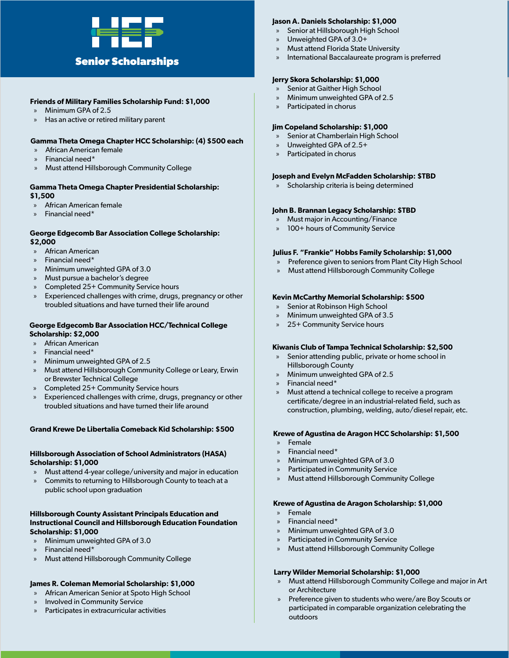

#### **Friends of Military Families Scholarship Fund: \$1,000**

- » Minimum GPA of 2.5
- » Has an active or retired military parent

#### **Gamma Theta Omega Chapter HCC Scholarship: (4) \$500 each**

- » African American female
- » Financial need\*
- » Must attend Hillsborough Community College

#### **Gamma Theta Omega Chapter Presidential Scholarship: \$1,500**

- » African American female
- » Financial need\*

#### **George Edgecomb Bar Association College Scholarship: \$2,000**

- » African American
- » Financial need\*
- » Minimum unweighted GPA of 3.0
- » Must pursue a bachelor's degree
- » Completed 25+ Community Service hours
- Experienced challenges with crime, drugs, pregnancy or other troubled situations and have turned their life around

#### **George Edgecomb Bar Association HCC/Technical College Scholarship: \$2,000**

- » African American
- » Financial need\*
- » Minimum unweighted GPA of 2.5
- » Must attend Hillsborough Community College or Leary, Erwin or Brewster Technical College
- » Completed 25+ Community Service hours
- Experienced challenges with crime, drugs, pregnancy or other troubled situations and have turned their life around

#### **Grand Krewe De Libertalia Comeback Kid Scholarship: \$500**

#### **Hillsborough Association of School Administrators (HASA) Scholarship: \$1,000**

- » Must attend 4-year college/university and major in education
- » Commits to returning to Hillsborough County to teach at a public school upon graduation

#### **Hillsborough County Assistant Principals Education and Instructional Council and Hillsborough Education Foundation Scholarship: \$1,000**

- » Minimum unweighted GPA of 3.0
- » Financial need\*
- » Must attend Hillsborough Community College

### **James R. Coleman Memorial Scholarship: \$1,000**

- » African American Senior at Spoto High School
- » Involved in Community Service
- » Participates in extracurricular activities

### **Jason A. Daniels Scholarship: \$1,000**

- Senior at Hillsborough High School
- » Unweighted GPA of 3.0+
- » Must attend Florida State University
- International Baccalaureate program is preferred

#### **Jerry Skora Scholarship: \$1,000**

- Senior at Gaither High School
- » Minimum unweighted GPA of 2.5
- Participated in chorus

#### **Jim Copeland Scholarship: \$1,000**

- Senior at Chamberlain High School
- » Unweighted GPA of 2.5+
- Participated in chorus

### **Joseph and Evelyn McFadden Scholarship: \$TBD**

Scholarship criteria is being determined

### **John B. Brannan Legacy Scholarship: \$TBD**

- » Must major in Accounting/Finance
- 100+ hours of Community Service

### **Julius F. "Frankie" Hobbs Family Scholarship: \$1,000**

- Preference given to seniors from Plant City High School
- » Must attend Hillsborough Community College

### **Kevin McCarthy Memorial Scholarship: \$500**

- Senior at Robinson High School
- » Minimum unweighted GPA of 3.5
- » 25+ Community Service hours

### **Kiwanis Club of Tampa Technical Scholarship: \$2,500**

- Senior attending public, private or home school in Hillsborough County
- » Minimum unweighted GPA of 2.5
- » Financial need\*
- » Must attend a technical college to receive a program certificate/degree in an industrial-related field, such as construction, plumbing, welding, auto/diesel repair, etc.

#### **Krewe of Agustina de Aragon HCC Scholarship: \$1,500**

- » Female
- » Financial need\*
- » Minimum unweighted GPA of 3.0
- Participated in Community Service
- » Must attend Hillsborough Community College

#### **Krewe of Agustina de Aragon Scholarship: \$1,000**

- » Female
- » Financial need\*
- » Minimum unweighted GPA of 3.0
- Participated in Community Service
- » Must attend Hillsborough Community College

### **Larry Wilder Memorial Scholarship: \$1,000**

- » Must attend Hillsborough Community College and major in Art or Architecture
- » Preference given to students who were/are Boy Scouts or participated in comparable organization celebrating the outdoors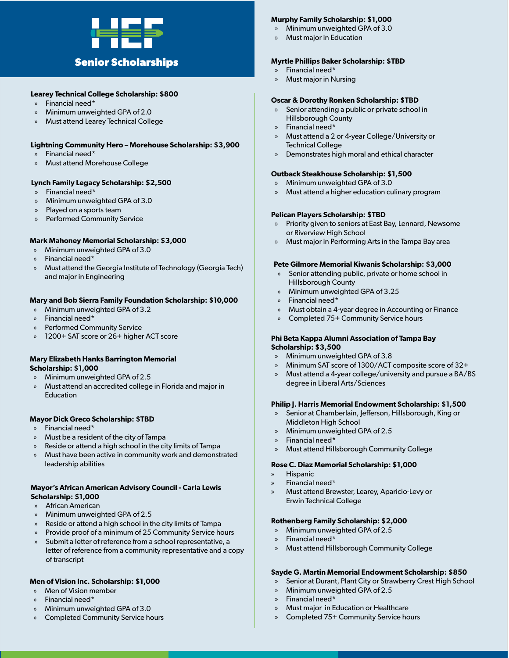

#### **Learey Technical College Scholarship: \$800**

- » Financial need\*
- » Minimum unweighted GPA of 2.0
- » Must attend Learey Technical College

#### **Lightning Community Hero – Morehouse Scholarship: \$3,900**

- » Financial need\*
- » Must attend Morehouse College

#### **Lynch Family Legacy Scholarship: \$2,500**

- » Financial need\*
- » Minimum unweighted GPA of 3.0
- Played on a sports team
- Performed Community Service

#### **Mark Mahoney Memorial Scholarship: \$3,000**

- » Minimum unweighted GPA of 3.0
- » Financial need\*
- » Must attend the Georgia Institute of Technology (Georgia Tech) and major in Engineering

#### **Mary and Bob Sierra Family Foundation Scholarship: \$10,000**

- » Minimum unweighted GPA of 3.2
- » Financial need\*
- » Performed Community Service
- » 1200+ SAT score or 26+ higher ACT score

#### **Mary Elizabeth Hanks Barrington Memorial Scholarship: \$1,000**

- » Minimum unweighted GPA of 2.5
- » Must attend an accredited college in Florida and major in Education

#### **Mayor Dick Greco Scholarship: \$TBD**

- » Financial need\*
- » Must be a resident of the city of Tampa
- » Reside or attend a high school in the city limits of Tampa
- » Must have been active in community work and demonstrated leadership abilities

#### **Mayor's African American Advisory Council - Carla Lewis Scholarship: \$1,000**

- » African American
- » Minimum unweighted GPA of 2.5
- » Reside or attend a high school in the city limits of Tampa
- » Provide proof of a minimum of 25 Community Service hours
- Submit a letter of reference from a school representative, a letter of reference from a community representative and a copy of transcript

#### **Men of Vision Inc. Scholarship: \$1,000**

- » Men of Vision member
- » Financial need\*
- » Minimum unweighted GPA of 3.0
- » Completed Community Service hours

#### **Murphy Family Scholarship: \$1,000**

- » Minimum unweighted GPA of 3.0
- » Must major in Education

#### **Myrtle Phillips Baker Scholarship: \$TBD**

- » Financial need\*
- » Must major in Nursing

#### **Oscar & Dorothy Ronken Scholarship: \$TBD**

- Senior attending a public or private school in Hillsborough County
- » Financial need\*
- » Must attend a 2 or 4-year College/University or Technical College
- » Demonstrates high moral and ethical character

#### **Outback Steakhouse Scholarship: \$1,500**

- » Minimum unweighted GPA of 3.0
- » Must attend a higher education culinary program

#### **Pelican Players Scholarship: \$TBD**

- » Priority given to seniors at East Bay, Lennard, Newsome or Riverview High School
- » Must major in Performing Arts in the Tampa Bay area

#### **Pete Gilmore Memorial Kiwanis Scholarship: \$3,000**

- Senior attending public, private or home school in Hillsborough County
- » Minimum unweighted GPA of 3.25
- » Financial need\*
- » Must obtain a 4-year degree in Accounting or Finance
- » Completed 75+ Community Service hours

#### **Phi Beta Kappa Alumni Association of Tampa Bay Scholarship: \$3,500**

- » Minimum unweighted GPA of 3.8
- » Minimum SAT score of 1300/ACT composite score of 32+
- » Must attend a 4-year college/university and pursue a BA/BS degree in Liberal Arts/Sciences

#### **Philip J. Harris Memorial Endowment Scholarship: \$1,500**

- » Senior at Chamberlain, Jefferson, Hillsborough, King or Middleton High School
- » Minimum unweighted GPA of 2.5
- » Financial need\*
- » Must attend Hillsborough Community College

#### **Rose C. Diaz Memorial Scholarship: \$1,000**

- » Hispanic
- » Financial need\*
- » Must attend Brewster, Learey, Aparicio-Levy or Erwin Technical College

#### **Rothenberg Family Scholarship: \$2,000**

- » Minimum unweighted GPA of 2.5
- » Financial need\*
- » Must attend Hillsborough Community College

#### **Sayde G. Martin Memorial Endowment Scholarship: \$850**

- Senior at Durant, Plant City or Strawberry Crest High School
- » Minimum unweighted GPA of 2.5
- » Financial need\*
- » Must major in Education or Healthcare
- » Completed 75+ Community Service hours